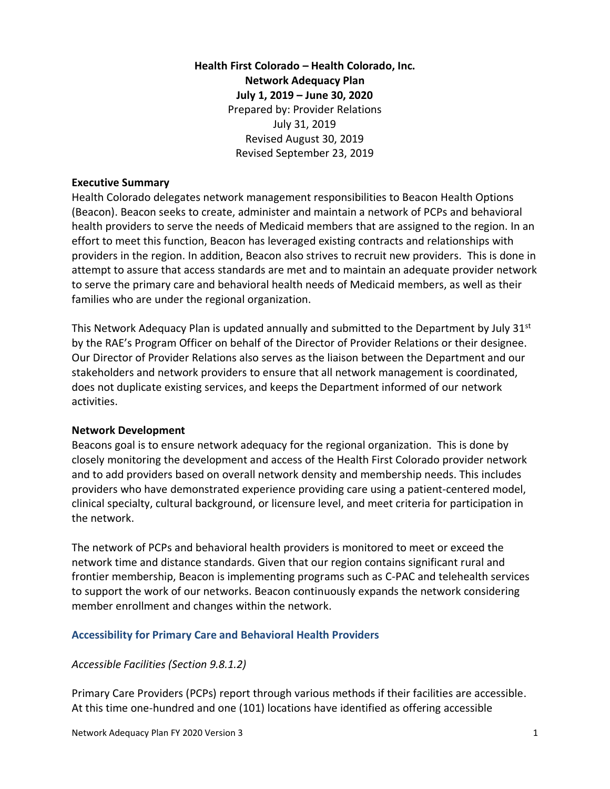# **Health First Colorado – Health Colorado, Inc. Network Adequacy Plan July 1, 2019 – June 30, 2020** Prepared by: Provider Relations July 31, 2019 Revised August 30, 2019 Revised September 23, 2019

#### **Executive Summary**

Health Colorado delegates network management responsibilities to Beacon Health Options (Beacon). Beacon seeks to create, administer and maintain a network of PCPs and behavioral health providers to serve the needs of Medicaid members that are assigned to the region. In an effort to meet this function, Beacon has leveraged existing contracts and relationships with providers in the region. In addition, Beacon also strives to recruit new providers. This is done in attempt to assure that access standards are met and to maintain an adequate provider network to serve the primary care and behavioral health needs of Medicaid members, as well as their families who are under the regional organization.

This Network Adequacy Plan is updated annually and submitted to the Department by July  $31<sup>st</sup>$ by the RAE's Program Officer on behalf of the Director of Provider Relations or their designee. Our Director of Provider Relations also serves as the liaison between the Department and our stakeholders and network providers to ensure that all network management is coordinated, does not duplicate existing services, and keeps the Department informed of our network activities.

#### **Network Development**

Beacons goal is to ensure network adequacy for the regional organization. This is done by closely monitoring the development and access of the Health First Colorado provider network and to add providers based on overall network density and membership needs. This includes providers who have demonstrated experience providing care using a patient-centered model, clinical specialty, cultural background, or licensure level, and meet criteria for participation in the network.

The network of PCPs and behavioral health providers is monitored to meet or exceed the network time and distance standards. Given that our region contains significant rural and frontier membership, Beacon is implementing programs such as C-PAC and telehealth services to support the work of our networks. Beacon continuously expands the network considering member enrollment and changes within the network.

#### **Accessibility for Primary Care and Behavioral Health Providers**

*Accessible Facilities (Section 9.8.1.2)*

Primary Care Providers (PCPs) report through various methods if their facilities are accessible. At this time one-hundred and one (101) locations have identified as offering accessible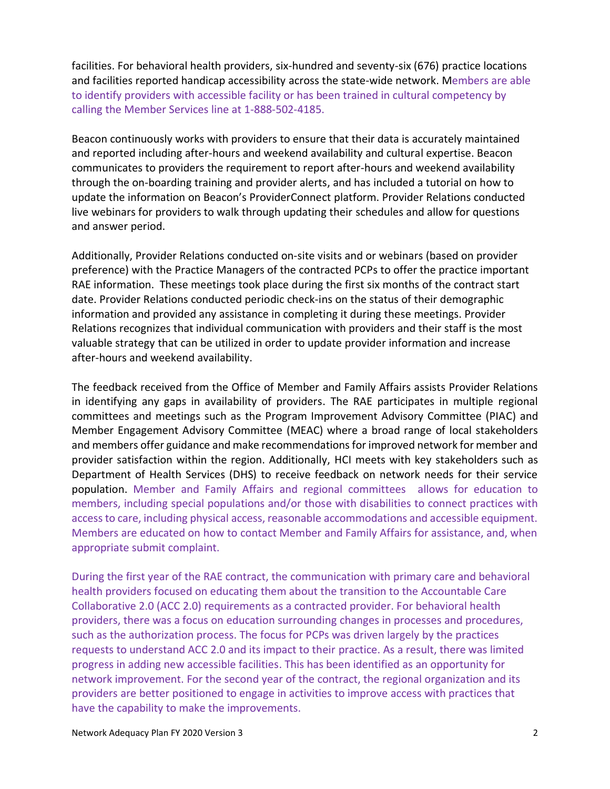facilities. For behavioral health providers, six-hundred and seventy-six (676) practice locations and facilities reported handicap accessibility across the state-wide network. Members are able to identify providers with accessible facility or has been trained in cultural competency by calling the Member Services line at 1-888-502-4185.

Beacon continuously works with providers to ensure that their data is accurately maintained and reported including after-hours and weekend availability and cultural expertise. Beacon communicates to providers the requirement to report after-hours and weekend availability through the on-boarding training and provider alerts, and has included a tutorial on how to update the information on Beacon's ProviderConnect platform. Provider Relations conducted live webinars for providers to walk through updating their schedules and allow for questions and answer period.

Additionally, Provider Relations conducted on-site visits and or webinars (based on provider preference) with the Practice Managers of the contracted PCPs to offer the practice important RAE information. These meetings took place during the first six months of the contract start date. Provider Relations conducted periodic check-ins on the status of their demographic information and provided any assistance in completing it during these meetings. Provider Relations recognizes that individual communication with providers and their staff is the most valuable strategy that can be utilized in order to update provider information and increase after-hours and weekend availability.

The feedback received from the Office of Member and Family Affairs assists Provider Relations in identifying any gaps in availability of providers. The RAE participates in multiple regional committees and meetings such as the Program Improvement Advisory Committee (PIAC) and Member Engagement Advisory Committee (MEAC) where a broad range of local stakeholders and members offer guidance and make recommendations for improved network for member and provider satisfaction within the region. Additionally, HCI meets with key stakeholders such as Department of Health Services (DHS) to receive feedback on network needs for their service population. Member and Family Affairs and regional committees allows for education to members, including special populations and/or those with disabilities to connect practices with access to care, including physical access, reasonable accommodations and accessible equipment. Members are educated on how to contact Member and Family Affairs for assistance, and, when appropriate submit complaint.

During the first year of the RAE contract, the communication with primary care and behavioral health providers focused on educating them about the transition to the Accountable Care Collaborative 2.0 (ACC 2.0) requirements as a contracted provider. For behavioral health providers, there was a focus on education surrounding changes in processes and procedures, such as the authorization process. The focus for PCPs was driven largely by the practices requests to understand ACC 2.0 and its impact to their practice. As a result, there was limited progress in adding new accessible facilities. This has been identified as an opportunity for network improvement. For the second year of the contract, the regional organization and its providers are better positioned to engage in activities to improve access with practices that have the capability to make the improvements.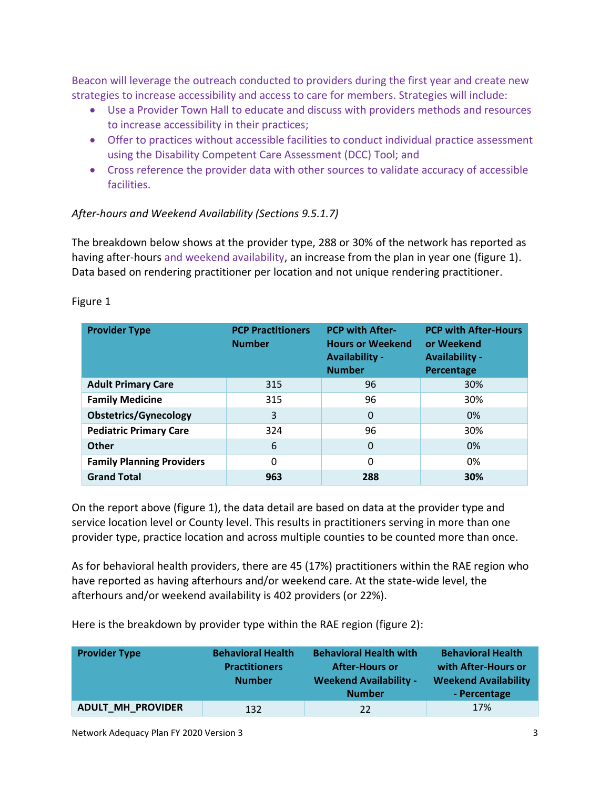Beacon will leverage the outreach conducted to providers during the first year and create new strategies to increase accessibility and access to care for members. Strategies will include:

- Use a Provider Town Hall to educate and discuss with providers methods and resources to increase accessibility in their practices;
- Offer to practices without accessible facilities to conduct individual practice assessment using the Disability Competent Care Assessment (DCC) Tool; and
- Cross reference the provider data with other sources to validate accuracy of accessible facilities.

### *After-hours and Weekend Availability (Sections 9.5.1.7)*

The breakdown below shows at the provider type, 288 or 30% of the network has reported as having after-hours and weekend availability, an increase from the plan in year one (figure 1). Data based on rendering practitioner per location and not unique rendering practitioner.

| <b>Provider Type</b>             | <b>PCP Practitioners</b><br><b>Number</b> | <b>PCP with After-</b><br><b>Hours or Weekend</b><br><b>Availability -</b><br><b>Number</b> | <b>PCP with After-Hours</b><br>or Weekend<br><b>Availability -</b><br>Percentage |
|----------------------------------|-------------------------------------------|---------------------------------------------------------------------------------------------|----------------------------------------------------------------------------------|
| <b>Adult Primary Care</b>        | 315                                       | 96                                                                                          | 30%                                                                              |
| <b>Family Medicine</b>           | 315                                       | 96                                                                                          | 30%                                                                              |
| <b>Obstetrics/Gynecology</b>     | 3                                         | 0                                                                                           | 0%                                                                               |
| <b>Pediatric Primary Care</b>    | 324                                       | 96                                                                                          | 30%                                                                              |
| <b>Other</b>                     | 6                                         | 0                                                                                           | 0%                                                                               |
| <b>Family Planning Providers</b> | 0                                         | 0                                                                                           | 0%                                                                               |
| <b>Grand Total</b>               | 963                                       | 288                                                                                         | 30%                                                                              |

#### Figure 1

On the report above (figure 1), the data detail are based on data at the provider type and service location level or County level. This results in practitioners serving in more than one provider type, practice location and across multiple counties to be counted more than once.

As for behavioral health providers, there are 45 (17%) practitioners within the RAE region who have reported as having afterhours and/or weekend care. At the state-wide level, the afterhours and/or weekend availability is 402 providers (or 22%).

Here is the breakdown by provider type within the RAE region (figure 2):

| <b>Provider Type</b>     | <b>Behavioral Health</b><br><b>Practitioners</b><br><b>Number</b> | <b>Behavioral Health with</b><br><b>After-Hours or</b><br><b>Weekend Availability -</b><br><b>Number</b> | <b>Behavioral Health</b><br>with After-Hours or<br><b>Weekend Availability</b><br>- Percentage |
|--------------------------|-------------------------------------------------------------------|----------------------------------------------------------------------------------------------------------|------------------------------------------------------------------------------------------------|
| <b>ADULT_MH_PROVIDER</b> | 132                                                               | 22                                                                                                       | 17%                                                                                            |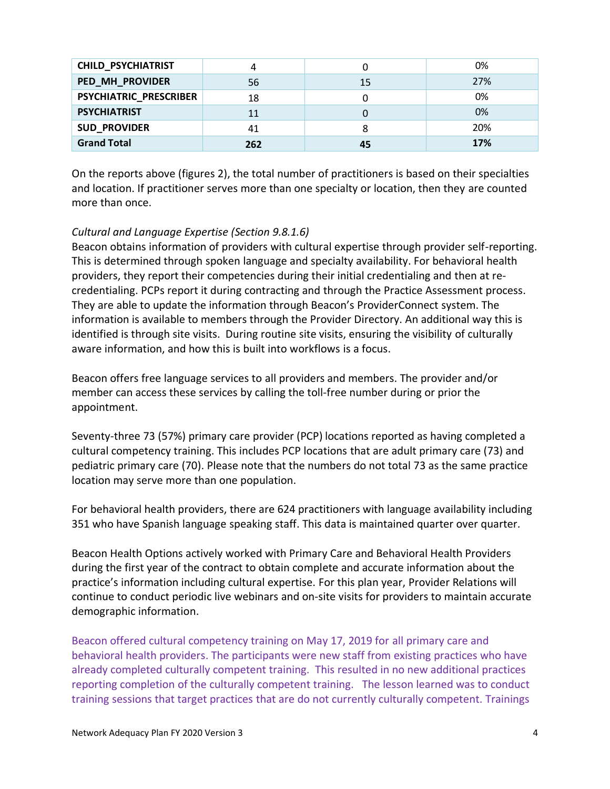| <b>CHILD_PSYCHIATRIST</b> | 4   |    | 0%  |
|---------------------------|-----|----|-----|
| PED_MH_PROVIDER           | 56  | 15 | 27% |
| PSYCHIATRIC_PRESCRIBER    | 18  |    | 0%  |
| <b>PSYCHIATRIST</b>       | 11  |    | 0%  |
| <b>SUD_PROVIDER</b>       | 41  |    | 20% |
| <b>Grand Total</b>        | 262 | 45 | 17% |

On the reports above (figures 2), the total number of practitioners is based on their specialties and location. If practitioner serves more than one specialty or location, then they are counted more than once.

## *Cultural and Language Expertise (Section 9.8.1.6)*

Beacon obtains information of providers with cultural expertise through provider self-reporting. This is determined through spoken language and specialty availability. For behavioral health providers, they report their competencies during their initial credentialing and then at recredentialing. PCPs report it during contracting and through the Practice Assessment process. They are able to update the information through Beacon's ProviderConnect system. The information is available to members through the Provider Directory. An additional way this is identified is through site visits. During routine site visits, ensuring the visibility of culturally aware information, and how this is built into workflows is a focus.

Beacon offers free language services to all providers and members. The provider and/or member can access these services by calling the toll-free number during or prior the appointment.

Seventy-three 73 (57%) primary care provider (PCP) locations reported as having completed a cultural competency training. This includes PCP locations that are adult primary care (73) and pediatric primary care (70). Please note that the numbers do not total 73 as the same practice location may serve more than one population.

For behavioral health providers, there are 624 practitioners with language availability including 351 who have Spanish language speaking staff. This data is maintained quarter over quarter.

Beacon Health Options actively worked with Primary Care and Behavioral Health Providers during the first year of the contract to obtain complete and accurate information about the practice's information including cultural expertise. For this plan year, Provider Relations will continue to conduct periodic live webinars and on-site visits for providers to maintain accurate demographic information.

Beacon offered cultural competency training on May 17, 2019 for all primary care and behavioral health providers. The participants were new staff from existing practices who have already completed culturally competent training. This resulted in no new additional practices reporting completion of the culturally competent training. The lesson learned was to conduct training sessions that target practices that are do not currently culturally competent. Trainings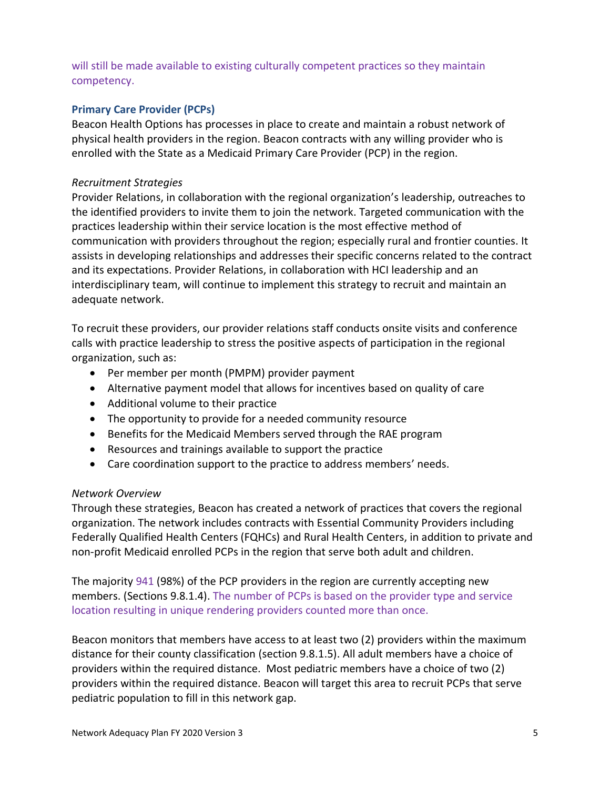will still be made available to existing culturally competent practices so they maintain competency.

### **Primary Care Provider (PCPs)**

Beacon Health Options has processes in place to create and maintain a robust network of physical health providers in the region. Beacon contracts with any willing provider who is enrolled with the State as a Medicaid Primary Care Provider (PCP) in the region.

#### *Recruitment Strategies*

Provider Relations, in collaboration with the regional organization's leadership, outreaches to the identified providers to invite them to join the network. Targeted communication with the practices leadership within their service location is the most effective method of communication with providers throughout the region; especially rural and frontier counties. It assists in developing relationships and addresses their specific concerns related to the contract and its expectations. Provider Relations, in collaboration with HCI leadership and an interdisciplinary team, will continue to implement this strategy to recruit and maintain an adequate network.

To recruit these providers, our provider relations staff conducts onsite visits and conference calls with practice leadership to stress the positive aspects of participation in the regional organization, such as:

- Per member per month (PMPM) provider payment
- Alternative payment model that allows for incentives based on quality of care
- Additional volume to their practice
- The opportunity to provide for a needed community resource
- Benefits for the Medicaid Members served through the RAE program
- Resources and trainings available to support the practice
- Care coordination support to the practice to address members' needs.

#### *Network Overview*

Through these strategies, Beacon has created a network of practices that covers the regional organization. The network includes contracts with Essential Community Providers including Federally Qualified Health Centers (FQHCs) and Rural Health Centers, in addition to private and non-profit Medicaid enrolled PCPs in the region that serve both adult and children.

The majority 941 (98%) of the PCP providers in the region are currently accepting new members. (Sections 9.8.1.4). The number of PCPs is based on the provider type and service location resulting in unique rendering providers counted more than once.

Beacon monitors that members have access to at least two (2) providers within the maximum distance for their county classification (section 9.8.1.5). All adult members have a choice of providers within the required distance. Most pediatric members have a choice of two (2) providers within the required distance. Beacon will target this area to recruit PCPs that serve pediatric population to fill in this network gap.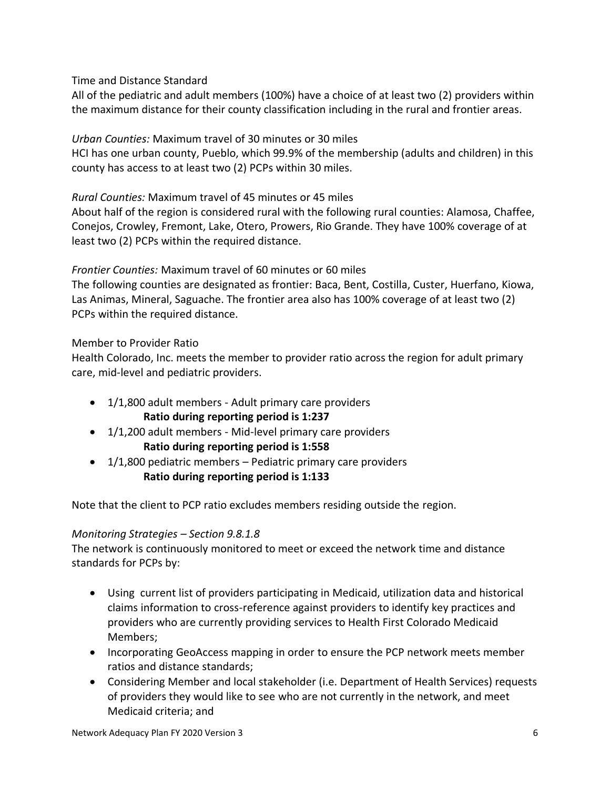Time and Distance Standard

All of the pediatric and adult members (100%) have a choice of at least two (2) providers within the maximum distance for their county classification including in the rural and frontier areas.

*Urban Counties:* Maximum travel of 30 minutes or 30 miles

HCI has one urban county, Pueblo, which 99.9% of the membership (adults and children) in this county has access to at least two (2) PCPs within 30 miles.

*Rural Counties:* Maximum travel of 45 minutes or 45 miles

About half of the region is considered rural with the following rural counties: Alamosa, Chaffee, Conejos, Crowley, Fremont, Lake, Otero, Prowers, Rio Grande. They have 100% coverage of at least two (2) PCPs within the required distance.

*Frontier Counties:* Maximum travel of 60 minutes or 60 miles

The following counties are designated as frontier: Baca, Bent, Costilla, Custer, Huerfano, Kiowa, Las Animas, Mineral, Saguache. The frontier area also has 100% coverage of at least two (2) PCPs within the required distance.

Member to Provider Ratio

Health Colorado, Inc. meets the member to provider ratio across the region for adult primary care, mid-level and pediatric providers.

- 1/1,800 adult members Adult primary care providers **Ratio during reporting period is 1:237**
- 1/1,200 adult members Mid-level primary care providers **Ratio during reporting period is 1:558**
- 1/1,800 pediatric members Pediatric primary care providers **Ratio during reporting period is 1:133**

Note that the client to PCP ratio excludes members residing outside the region.

## *Monitoring Strategies – Section 9.8.1.8*

The network is continuously monitored to meet or exceed the network time and distance standards for PCPs by:

- Using current list of providers participating in Medicaid, utilization data and historical claims information to cross-reference against providers to identify key practices and providers who are currently providing services to Health First Colorado Medicaid Members;
- Incorporating GeoAccess mapping in order to ensure the PCP network meets member ratios and distance standards;
- Considering Member and local stakeholder (i.e. Department of Health Services) requests of providers they would like to see who are not currently in the network, and meet Medicaid criteria; and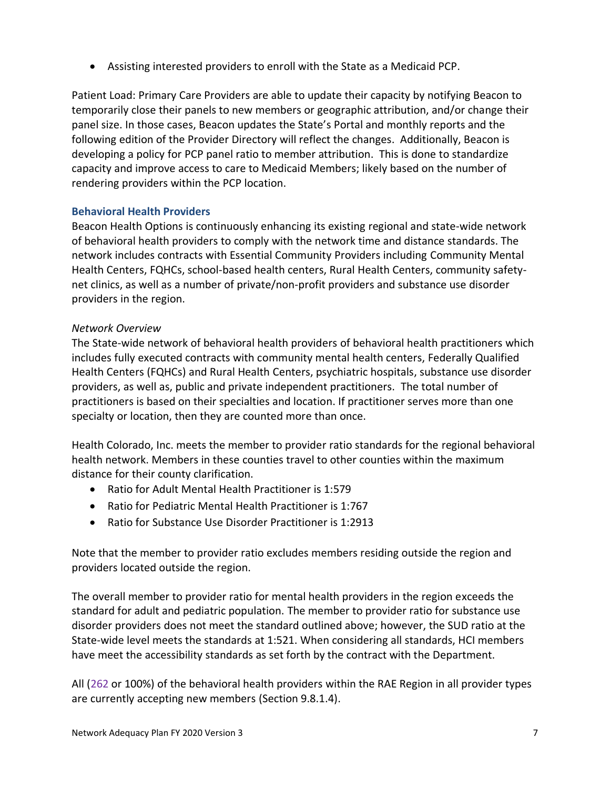• Assisting interested providers to enroll with the State as a Medicaid PCP.

Patient Load: Primary Care Providers are able to update their capacity by notifying Beacon to temporarily close their panels to new members or geographic attribution, and/or change their panel size. In those cases, Beacon updates the State's Portal and monthly reports and the following edition of the Provider Directory will reflect the changes. Additionally, Beacon is developing a policy for PCP panel ratio to member attribution. This is done to standardize capacity and improve access to care to Medicaid Members; likely based on the number of rendering providers within the PCP location.

## **Behavioral Health Providers**

Beacon Health Options is continuously enhancing its existing regional and state-wide network of behavioral health providers to comply with the network time and distance standards. The network includes contracts with Essential Community Providers including Community Mental Health Centers, FQHCs, school-based health centers, Rural Health Centers, community safetynet clinics, as well as a number of private/non-profit providers and substance use disorder providers in the region.

## *Network Overview*

The State-wide network of behavioral health providers of behavioral health practitioners which includes fully executed contracts with community mental health centers, Federally Qualified Health Centers (FQHCs) and Rural Health Centers, psychiatric hospitals, substance use disorder providers, as well as, public and private independent practitioners. The total number of practitioners is based on their specialties and location. If practitioner serves more than one specialty or location, then they are counted more than once.

Health Colorado, Inc. meets the member to provider ratio standards for the regional behavioral health network. Members in these counties travel to other counties within the maximum distance for their county clarification.

- Ratio for Adult Mental Health Practitioner is 1:579
- Ratio for Pediatric Mental Health Practitioner is 1:767
- Ratio for Substance Use Disorder Practitioner is 1:2913

Note that the member to provider ratio excludes members residing outside the region and providers located outside the region.

The overall member to provider ratio for mental health providers in the region exceeds the standard for adult and pediatric population. The member to provider ratio for substance use disorder providers does not meet the standard outlined above; however, the SUD ratio at the State-wide level meets the standards at 1:521. When considering all standards, HCI members have meet the accessibility standards as set forth by the contract with the Department.

All (262 or 100%) of the behavioral health providers within the RAE Region in all provider types are currently accepting new members (Section 9.8.1.4).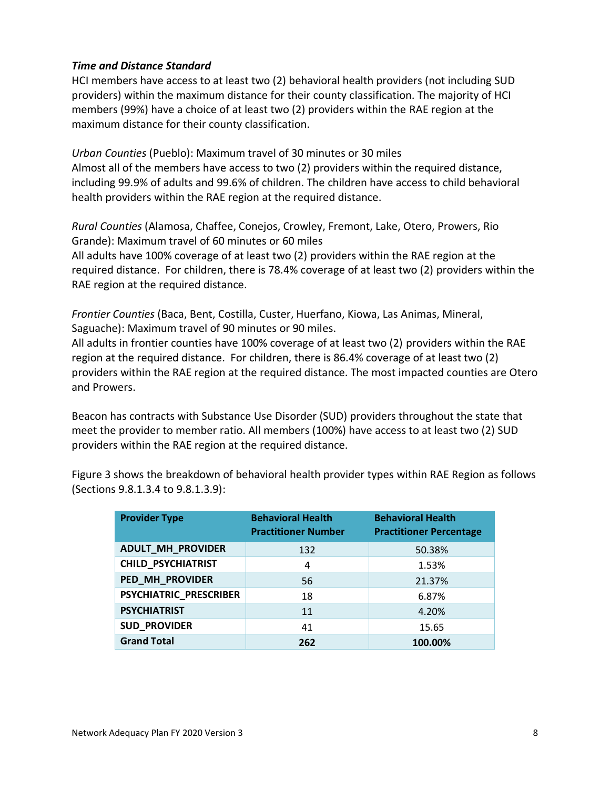### *Time and Distance Standard*

HCI members have access to at least two (2) behavioral health providers (not including SUD providers) within the maximum distance for their county classification. The majority of HCI members (99%) have a choice of at least two (2) providers within the RAE region at the maximum distance for their county classification.

*Urban Counties* (Pueblo): Maximum travel of 30 minutes or 30 miles Almost all of the members have access to two (2) providers within the required distance, including 99.9% of adults and 99.6% of children. The children have access to child behavioral health providers within the RAE region at the required distance.

*Rural Counties* (Alamosa, Chaffee, Conejos, Crowley, Fremont, Lake, Otero, Prowers, Rio Grande): Maximum travel of 60 minutes or 60 miles All adults have 100% coverage of at least two (2) providers within the RAE region at the required distance. For children, there is 78.4% coverage of at least two (2) providers within the RAE region at the required distance.

*Frontier Counties* (Baca, Bent, Costilla, Custer, Huerfano, Kiowa, Las Animas, Mineral, Saguache): Maximum travel of 90 minutes or 90 miles.

All adults in frontier counties have 100% coverage of at least two (2) providers within the RAE region at the required distance. For children, there is 86.4% coverage of at least two (2) providers within the RAE region at the required distance. The most impacted counties are Otero and Prowers.

Beacon has contracts with Substance Use Disorder (SUD) providers throughout the state that meet the provider to member ratio. All members (100%) have access to at least two (2) SUD providers within the RAE region at the required distance.

Figure 3 shows the breakdown of behavioral health provider types within RAE Region as follows (Sections 9.8.1.3.4 to 9.8.1.3.9):

| <b>Provider Type</b>     | <b>Behavioral Health</b><br><b>Practitioner Number</b> | <b>Behavioral Health</b><br><b>Practitioner Percentage</b> |
|--------------------------|--------------------------------------------------------|------------------------------------------------------------|
| <b>ADULT_MH_PROVIDER</b> | 132                                                    | 50.38%                                                     |
| CHILD_PSYCHIATRIST       | 4                                                      | 1.53%                                                      |
| PED_MH_PROVIDER          | 56                                                     | 21.37%                                                     |
| PSYCHIATRIC_PRESCRIBER   | 18                                                     | 6.87%                                                      |
| <b>PSYCHIATRIST</b>      | 11                                                     | 4.20%                                                      |
| <b>SUD_PROVIDER</b>      | 41                                                     | 15.65                                                      |
| <b>Grand Total</b>       | 262                                                    | 100.00%                                                    |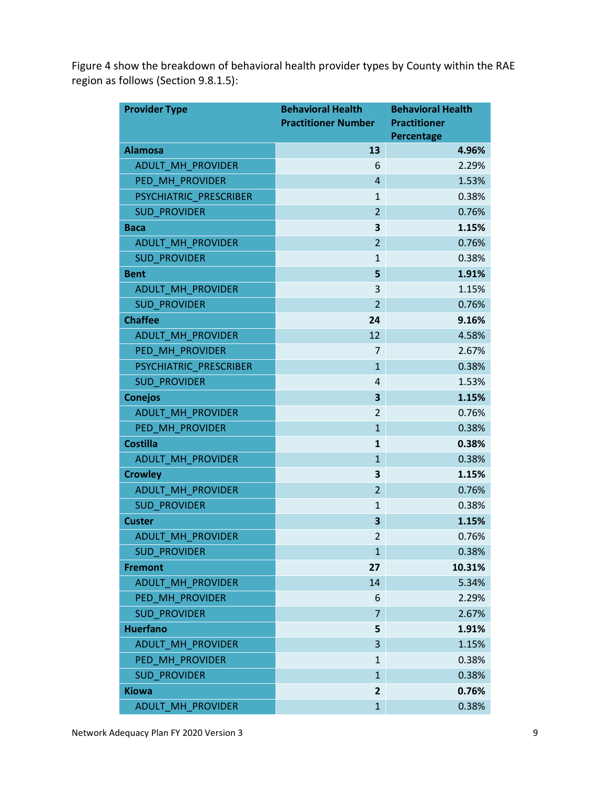Figure 4 show the breakdown of behavioral health provider types by County within the RAE region as follows (Section 9.8.1.5):

| <b>Provider Type</b>     | <b>Behavioral Health</b>   | <b>Behavioral Health</b>          |
|--------------------------|----------------------------|-----------------------------------|
|                          | <b>Practitioner Number</b> | <b>Practitioner</b><br>Percentage |
| <b>Alamosa</b>           | 13                         | 4.96%                             |
| <b>ADULT MH PROVIDER</b> | 6                          | 2.29%                             |
| PED_MH_PROVIDER          | $\overline{4}$             | 1.53%                             |
| PSYCHIATRIC_PRESCRIBER   | $\mathbf{1}$               | 0.38%                             |
| <b>SUD PROVIDER</b>      | $\overline{2}$             | 0.76%                             |
| <b>Baca</b>              | 3                          | 1.15%                             |
| ADULT_MH_PROVIDER        | $\overline{2}$             | 0.76%                             |
| <b>SUD PROVIDER</b>      | 1                          | 0.38%                             |
| <b>Bent</b>              | 5                          | 1.91%                             |
| ADULT_MH_PROVIDER        | 3                          | 1.15%                             |
| <b>SUD PROVIDER</b>      | $\overline{2}$             | 0.76%                             |
| <b>Chaffee</b>           | 24                         | 9.16%                             |
| <b>ADULT MH PROVIDER</b> | 12                         | 4.58%                             |
| PED MH PROVIDER          | 7                          | 2.67%                             |
| PSYCHIATRIC_PRESCRIBER   | $\mathbf{1}$               | 0.38%                             |
| <b>SUD PROVIDER</b>      | 4                          | 1.53%                             |
| <b>Conejos</b>           | 3                          | 1.15%                             |
| ADULT MH PROVIDER        | $\overline{2}$             | 0.76%                             |
| PED_MH_PROVIDER          | $\mathbf{1}$               | 0.38%                             |
| <b>Costilla</b>          | $\mathbf{1}$               | 0.38%                             |
| ADULT_MH_PROVIDER        | $\mathbf{1}$               | 0.38%                             |
| <b>Crowley</b>           | 3                          | 1.15%                             |
| ADULT_MH_PROVIDER        | $\overline{2}$             | 0.76%                             |
| <b>SUD PROVIDER</b>      | 1                          | 0.38%                             |
| <b>Custer</b>            | 3                          | 1.15%                             |
| <b>ADULT_MH_PROVIDER</b> | $\overline{2}$             | 0.76%                             |
| <b>SUD_PROVIDER</b>      | 1                          | 0.38%                             |
| <b>Fremont</b>           | 27                         | 10.31%                            |
| ADULT MH PROVIDER        | 14                         | 5.34%                             |
| PED MH PROVIDER          | 6                          | 2.29%                             |
| <b>SUD PROVIDER</b>      | 7                          | 2.67%                             |
| <b>Huerfano</b>          | 5                          | 1.91%                             |
| <b>ADULT MH_PROVIDER</b> | 3                          | 1.15%                             |
| PED MH PROVIDER          | 1                          | 0.38%                             |
| <b>SUD PROVIDER</b>      | $\mathbf{1}$               | 0.38%                             |
| <b>Kiowa</b>             | 2                          | 0.76%                             |
| ADULT_MH_PROVIDER        | $\overline{1}$             | 0.38%                             |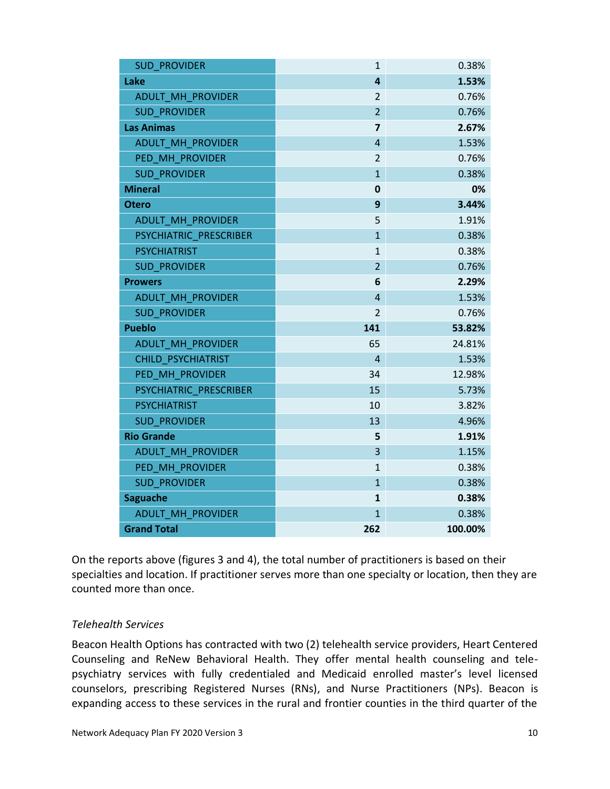| <b>SUD PROVIDER</b>       | 1                       | 0.38%   |
|---------------------------|-------------------------|---------|
| Lake                      | $\overline{\mathbf{4}}$ | 1.53%   |
| ADULT MH PROVIDER         | $\overline{2}$          | 0.76%   |
| <b>SUD PROVIDER</b>       | $\overline{2}$          | 0.76%   |
| <b>Las Animas</b>         | $\overline{\mathbf{z}}$ | 2.67%   |
| ADULT MH PROVIDER         | 4                       | 1.53%   |
| PED_MH_PROVIDER           | $\overline{2}$          | 0.76%   |
| <b>SUD PROVIDER</b>       | $\mathbf{1}$            | 0.38%   |
| <b>Mineral</b>            | $\mathbf 0$             | 0%      |
| <b>Otero</b>              | 9                       | 3.44%   |
| ADULT_MH_PROVIDER         | 5                       | 1.91%   |
| PSYCHIATRIC_PRESCRIBER    | $\mathbf{1}$            | 0.38%   |
| <b>PSYCHIATRIST</b>       | $\mathbf{1}$            | 0.38%   |
| <b>SUD PROVIDER</b>       | $\overline{2}$          | 0.76%   |
| <b>Prowers</b>            | 6                       | 2.29%   |
| ADULT MH PROVIDER         | $\overline{4}$          | 1.53%   |
| <b>SUD PROVIDER</b>       | $\overline{2}$          | 0.76%   |
| <b>Pueblo</b>             | 141                     | 53.82%  |
| ADULT_MH_PROVIDER         | 65                      | 24.81%  |
| <b>CHILD PSYCHIATRIST</b> | 4                       | 1.53%   |
| PED_MH_PROVIDER           | 34                      | 12.98%  |
| PSYCHIATRIC PRESCRIBER    | 15                      | 5.73%   |
| <b>PSYCHIATRIST</b>       | 10                      | 3.82%   |
| <b>SUD PROVIDER</b>       | 13                      | 4.96%   |
| <b>Rio Grande</b>         | 5                       | 1.91%   |
| ADULT_MH_PROVIDER         | $\overline{3}$          | 1.15%   |
| PED_MH_PROVIDER           | 1                       | 0.38%   |
| <b>SUD PROVIDER</b>       | $\mathbf{1}$            | 0.38%   |
| <b>Saguache</b>           | $\mathbf{1}$            | 0.38%   |
| ADULT MH PROVIDER         | 1                       | 0.38%   |
| <b>Grand Total</b>        | 262                     | 100.00% |

On the reports above (figures 3 and 4), the total number of practitioners is based on their specialties and location. If practitioner serves more than one specialty or location, then they are counted more than once.

#### *Telehealth Services*

Beacon Health Options has contracted with two (2) telehealth service providers, Heart Centered Counseling and ReNew Behavioral Health. They offer mental health counseling and telepsychiatry services with fully credentialed and Medicaid enrolled master's level licensed counselors, prescribing Registered Nurses (RNs), and Nurse Practitioners (NPs). Beacon is expanding access to these services in the rural and frontier counties in the third quarter of the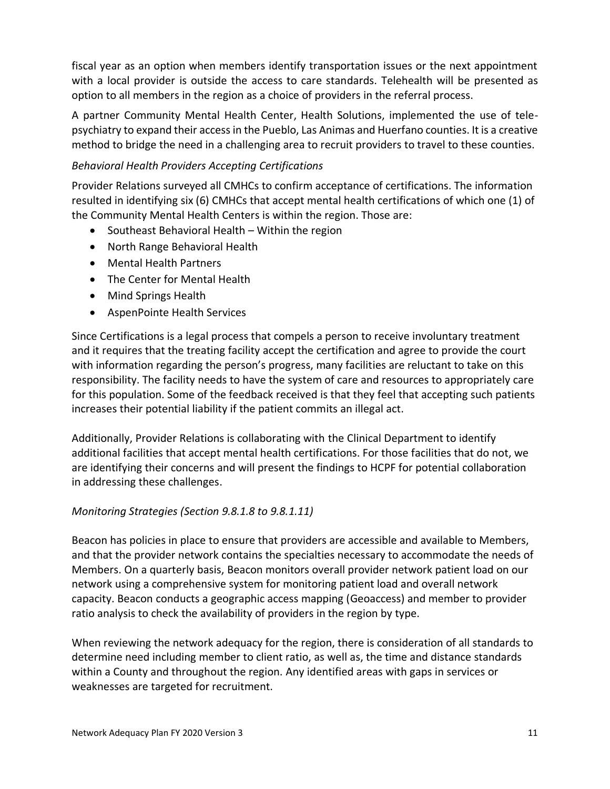fiscal year as an option when members identify transportation issues or the next appointment with a local provider is outside the access to care standards. Telehealth will be presented as option to all members in the region as a choice of providers in the referral process.

A partner Community Mental Health Center, Health Solutions, implemented the use of telepsychiatry to expand their access in the Pueblo, Las Animas and Huerfano counties. It is a creative method to bridge the need in a challenging area to recruit providers to travel to these counties.

# *Behavioral Health Providers Accepting Certifications*

Provider Relations surveyed all CMHCs to confirm acceptance of certifications. The information resulted in identifying six (6) CMHCs that accept mental health certifications of which one (1) of the Community Mental Health Centers is within the region. Those are:

- Southeast Behavioral Health Within the region
- North Range Behavioral Health
- Mental Health Partners
- The Center for Mental Health
- Mind Springs Health
- AspenPointe Health Services

Since Certifications is a legal process that compels a person to receive involuntary treatment and it requires that the treating facility accept the certification and agree to provide the court with information regarding the person's progress, many facilities are reluctant to take on this responsibility. The facility needs to have the system of care and resources to appropriately care for this population. Some of the feedback received is that they feel that accepting such patients increases their potential liability if the patient commits an illegal act.

Additionally, Provider Relations is collaborating with the Clinical Department to identify additional facilities that accept mental health certifications. For those facilities that do not, we are identifying their concerns and will present the findings to HCPF for potential collaboration in addressing these challenges.

## *Monitoring Strategies (Section 9.8.1.8 to 9.8.1.11)*

Beacon has policies in place to ensure that providers are accessible and available to Members, and that the provider network contains the specialties necessary to accommodate the needs of Members. On a quarterly basis, Beacon monitors overall provider network patient load on our network using a comprehensive system for monitoring patient load and overall network capacity. Beacon conducts a geographic access mapping (Geoaccess) and member to provider ratio analysis to check the availability of providers in the region by type.

When reviewing the network adequacy for the region, there is consideration of all standards to determine need including member to client ratio, as well as, the time and distance standards within a County and throughout the region. Any identified areas with gaps in services or weaknesses are targeted for recruitment.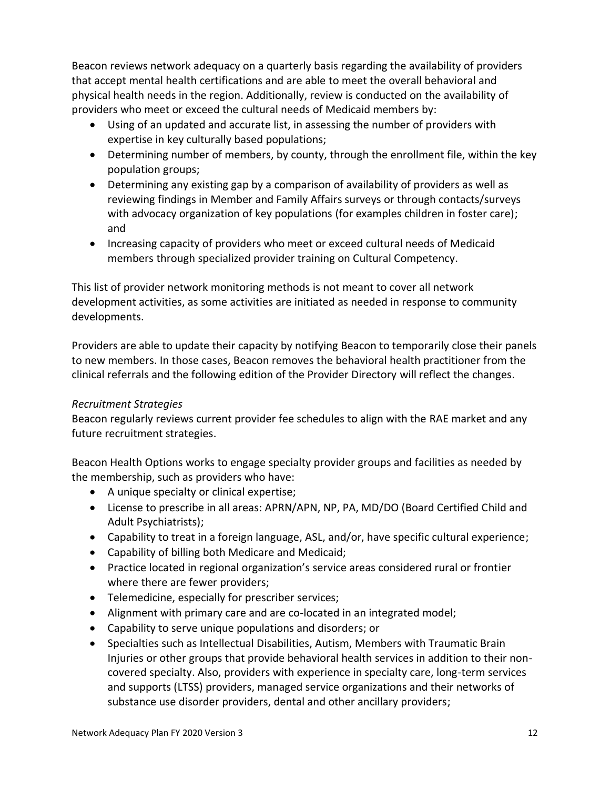Beacon reviews network adequacy on a quarterly basis regarding the availability of providers that accept mental health certifications and are able to meet the overall behavioral and physical health needs in the region. Additionally, review is conducted on the availability of providers who meet or exceed the cultural needs of Medicaid members by:

- Using of an updated and accurate list, in assessing the number of providers with expertise in key culturally based populations;
- Determining number of members, by county, through the enrollment file, within the key population groups;
- Determining any existing gap by a comparison of availability of providers as well as reviewing findings in Member and Family Affairs surveys or through contacts/surveys with advocacy organization of key populations (for examples children in foster care); and
- Increasing capacity of providers who meet or exceed cultural needs of Medicaid members through specialized provider training on Cultural Competency.

This list of provider network monitoring methods is not meant to cover all network development activities, as some activities are initiated as needed in response to community developments.

Providers are able to update their capacity by notifying Beacon to temporarily close their panels to new members. In those cases, Beacon removes the behavioral health practitioner from the clinical referrals and the following edition of the Provider Directory will reflect the changes.

## *Recruitment Strategies*

Beacon regularly reviews current provider fee schedules to align with the RAE market and any future recruitment strategies.

Beacon Health Options works to engage specialty provider groups and facilities as needed by the membership, such as providers who have:

- A unique specialty or clinical expertise;
- License to prescribe in all areas: APRN/APN, NP, PA, MD/DO (Board Certified Child and Adult Psychiatrists);
- Capability to treat in a foreign language, ASL, and/or, have specific cultural experience;
- Capability of billing both Medicare and Medicaid;
- Practice located in regional organization's service areas considered rural or frontier where there are fewer providers;
- Telemedicine, especially for prescriber services;
- Alignment with primary care and are co-located in an integrated model;
- Capability to serve unique populations and disorders; or
- Specialties such as Intellectual Disabilities, Autism, Members with Traumatic Brain Injuries or other groups that provide behavioral health services in addition to their noncovered specialty. Also, providers with experience in specialty care, long-term services and supports (LTSS) providers, managed service organizations and their networks of substance use disorder providers, dental and other ancillary providers;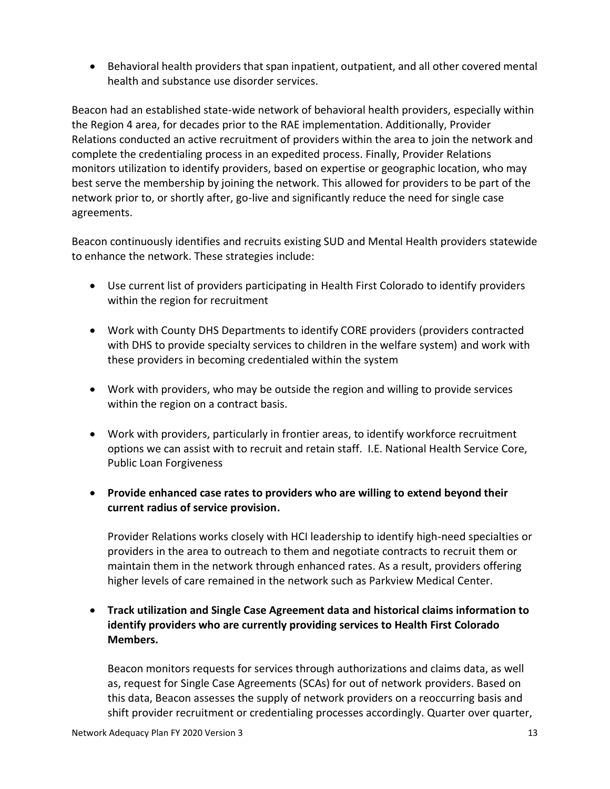• Behavioral health providers that span inpatient, outpatient, and all other covered mental health and substance use disorder services.

Beacon had an established state-wide network of behavioral health providers, especially within the Region 4 area, for decades prior to the RAE implementation. Additionally, Provider Relations conducted an active recruitment of providers within the area to join the network and complete the credentialing process in an expedited process. Finally, Provider Relations monitors utilization to identify providers, based on expertise or geographic location, who may best serve the membership by joining the network. This allowed for providers to be part of the network prior to, or shortly after, go-live and significantly reduce the need for single case agreements.

Beacon continuously identifies and recruits existing SUD and Mental Health providers statewide to enhance the network. These strategies include:

- Use current list of providers participating in Health First Colorado to identify providers within the region for recruitment
- Work with County DHS Departments to identify CORE providers (providers contracted with DHS to provide specialty services to children in the welfare system) and work with these providers in becoming credentialed within the system
- Work with providers, who may be outside the region and willing to provide services within the region on a contract basis.
- Work with providers, particularly in frontier areas, to identify workforce recruitment options we can assist with to recruit and retain staff. I.E. National Health Service Core, Public Loan Forgiveness
- **Provide enhanced case rates to providers who are willing to extend beyond their current radius of service provision.**

Provider Relations works closely with HCI leadership to identify high-need specialties or providers in the area to outreach to them and negotiate contracts to recruit them or maintain them in the network through enhanced rates. As a result, providers offering higher levels of care remained in the network such as Parkview Medical Center.

• **Track utilization and Single Case Agreement data and historical claims information to identify providers who are currently providing services to Health First Colorado Members.**

Beacon monitors requests for services through authorizations and claims data, as well as, request for Single Case Agreements (SCAs) for out of network providers. Based on this data, Beacon assesses the supply of network providers on a reoccurring basis and shift provider recruitment or credentialing processes accordingly. Quarter over quarter,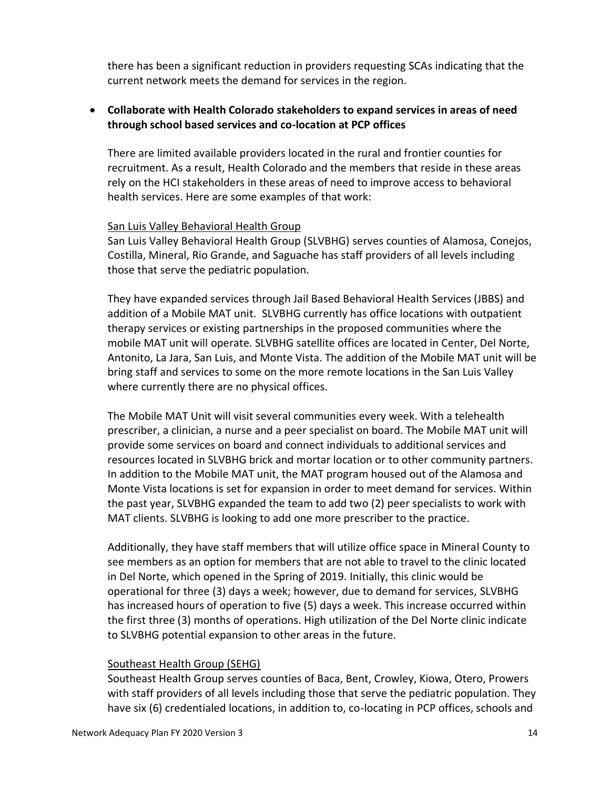there has been a significant reduction in providers requesting SCAs indicating that the current network meets the demand for services in the region.

### • **Collaborate with Health Colorado stakeholders to expand services in areas of need through school based services and co-location at PCP offices**

There are limited available providers located in the rural and frontier counties for recruitment. As a result, Health Colorado and the members that reside in these areas rely on the HCI stakeholders in these areas of need to improve access to behavioral health services. Here are some examples of that work:

#### San Luis Valley Behavioral Health Group

San Luis Valley Behavioral Health Group (SLVBHG) serves counties of Alamosa, Conejos, Costilla, Mineral, Rio Grande, and Saguache has staff providers of all levels including those that serve the pediatric population.

They have expanded services through Jail Based Behavioral Health Services (JBBS) and addition of a Mobile MAT unit. SLVBHG currently has office locations with outpatient therapy services or existing partnerships in the proposed communities where the mobile MAT unit will operate. SLVBHG satellite offices are located in Center, Del Norte, Antonito, La Jara, San Luis, and Monte Vista. The addition of the Mobile MAT unit will be bring staff and services to some on the more remote locations in the San Luis Valley where currently there are no physical offices.

The Mobile MAT Unit will visit several communities every week. With a telehealth prescriber, a clinician, a nurse and a peer specialist on board. The Mobile MAT unit will provide some services on board and connect individuals to additional services and resources located in SLVBHG brick and mortar location or to other community partners. In addition to the Mobile MAT unit, the MAT program housed out of the Alamosa and Monte Vista locations is set for expansion in order to meet demand for services. Within the past year, SLVBHG expanded the team to add two (2) peer specialists to work with MAT clients. SLVBHG is looking to add one more prescriber to the practice.

Additionally, they have staff members that will utilize office space in Mineral County to see members as an option for members that are not able to travel to the clinic located in Del Norte, which opened in the Spring of 2019. Initially, this clinic would be operational for three (3) days a week; however, due to demand for services, SLVBHG has increased hours of operation to five (5) days a week. This increase occurred within the first three (3) months of operations. High utilization of the Del Norte clinic indicate to SLVBHG potential expansion to other areas in the future.

#### Southeast Health Group (SEHG)

Southeast Health Group serves counties of Baca, Bent, Crowley, Kiowa, Otero, Prowers with staff providers of all levels including those that serve the pediatric population. They have six (6) credentialed locations, in addition to, co-locating in PCP offices, schools and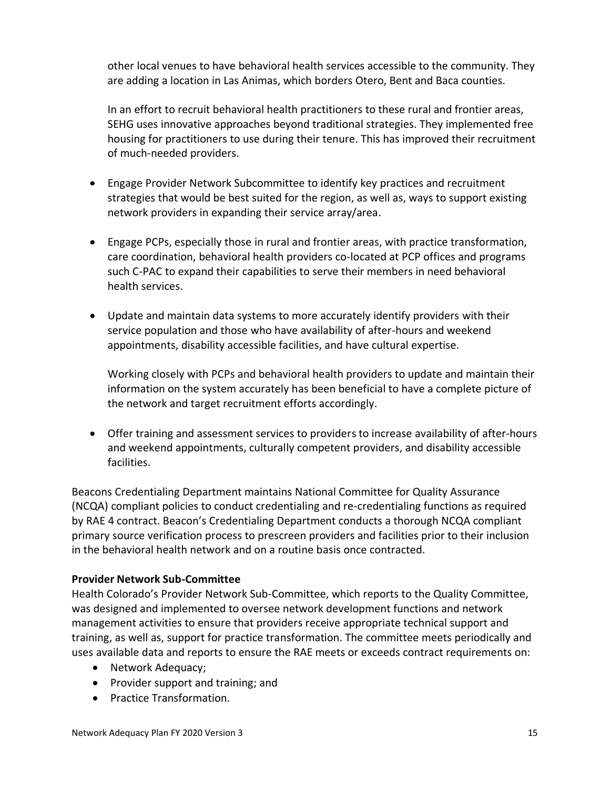other local venues to have behavioral health services accessible to the community. They are adding a location in Las Animas, which borders Otero, Bent and Baca counties.

In an effort to recruit behavioral health practitioners to these rural and frontier areas, SEHG uses innovative approaches beyond traditional strategies. They implemented free housing for practitioners to use during their tenure. This has improved their recruitment of much-needed providers.

- Engage Provider Network Subcommittee to identify key practices and recruitment strategies that would be best suited for the region, as well as, ways to support existing network providers in expanding their service array/area.
- Engage PCPs, especially those in rural and frontier areas, with practice transformation, care coordination, behavioral health providers co-located at PCP offices and programs such C-PAC to expand their capabilities to serve their members in need behavioral health services.
- Update and maintain data systems to more accurately identify providers with their service population and those who have availability of after-hours and weekend appointments, disability accessible facilities, and have cultural expertise.

Working closely with PCPs and behavioral health providers to update and maintain their information on the system accurately has been beneficial to have a complete picture of the network and target recruitment efforts accordingly.

• Offer training and assessment services to providers to increase availability of after-hours and weekend appointments, culturally competent providers, and disability accessible facilities.

Beacons Credentialing Department maintains National Committee for Quality Assurance (NCQA) compliant policies to conduct credentialing and re-credentialing functions as required by RAE 4 contract. Beacon's Credentialing Department conducts a thorough NCQA compliant primary source verification process to prescreen providers and facilities prior to their inclusion in the behavioral health network and on a routine basis once contracted.

## **Provider Network Sub-Committee**

Health Colorado's Provider Network Sub-Committee, which reports to the Quality Committee, was designed and implemented to oversee network development functions and network management activities to ensure that providers receive appropriate technical support and training, as well as, support for practice transformation. The committee meets periodically and uses available data and reports to ensure the RAE meets or exceeds contract requirements on:

- Network Adequacy;
- Provider support and training; and
- Practice Transformation.